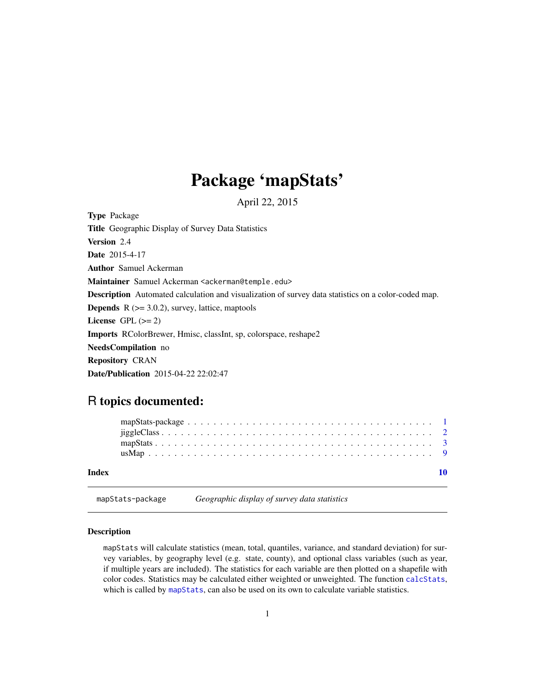### Package 'mapStats'

April 22, 2015

<span id="page-0-1"></span><span id="page-0-0"></span>Type Package Title Geographic Display of Survey Data Statistics Version 2.4 Date 2015-4-17 Author Samuel Ackerman Maintainer Samuel Ackerman <ackerman@temple.edu> Description Automated calculation and visualization of survey data statistics on a color-coded map. **Depends**  $R$  ( $>= 3.0.2$ ), survey, lattice, maptools License GPL  $(>= 2)$ Imports RColorBrewer, Hmisc, classInt, sp, colorspace, reshape2 NeedsCompilation no Repository CRAN Date/Publication 2015-04-22 22:02:47

### R topics documented:

| Index |  |  |  |  |  |  |  |  |  |  |  |  |  |  |  |  |  |  |  |  |  |
|-------|--|--|--|--|--|--|--|--|--|--|--|--|--|--|--|--|--|--|--|--|--|
|       |  |  |  |  |  |  |  |  |  |  |  |  |  |  |  |  |  |  |  |  |  |

## Description

mapStats-package *Geographic display of survey data statistics*

mapStats will calculate statistics (mean, total, quantiles, variance, and standard deviation) for survey variables, by geography level (e.g. state, county), and optional class variables (such as year, if multiple years are included). The statistics for each variable are then plotted on a shapefile with color codes. Statistics may be calculated either weighted or unweighted. The function [calcStats](#page-2-1), which is called by [mapStats](#page-2-2), can also be used on its own to calculate variable statistics.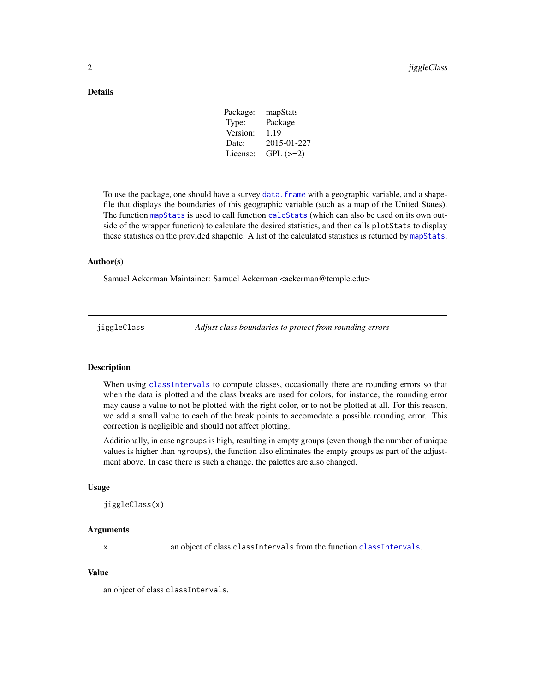#### <span id="page-1-0"></span>Details

| mapStats    |
|-------------|
| Package     |
| 1.19        |
| 2015-01-227 |
| $GPL (=2)$  |
|             |

To use the package, one should have a survey [data.frame](#page-0-1) with a geographic variable, and a shapefile that displays the boundaries of this geographic variable (such as a map of the United States). The function [mapStats](#page-2-2) is used to call function [calcStats](#page-2-1) (which can also be used on its own outside of the wrapper function) to calculate the desired statistics, and then calls plotStats to display these statistics on the provided shapefile. A list of the calculated statistics is returned by [mapStats](#page-2-2).

#### Author(s)

Samuel Ackerman Maintainer: Samuel Ackerman <ackerman@temple.edu>

jiggleClass *Adjust class boundaries to protect from rounding errors*

#### Description

When using [classIntervals](#page-0-1) to compute classes, occasionally there are rounding errors so that when the data is plotted and the class breaks are used for colors, for instance, the rounding error may cause a value to not be plotted with the right color, or to not be plotted at all. For this reason, we add a small value to each of the break points to accomodate a possible rounding error. This correction is negligible and should not affect plotting.

Additionally, in case ngroups is high, resulting in empty groups (even though the number of unique values is higher than ngroups), the function also eliminates the empty groups as part of the adjustment above. In case there is such a change, the palettes are also changed.

#### Usage

```
jiggleClass(x)
```
#### Arguments

x an object of class classIntervals from the function [classIntervals](#page-0-1).

#### Value

an object of class classIntervals.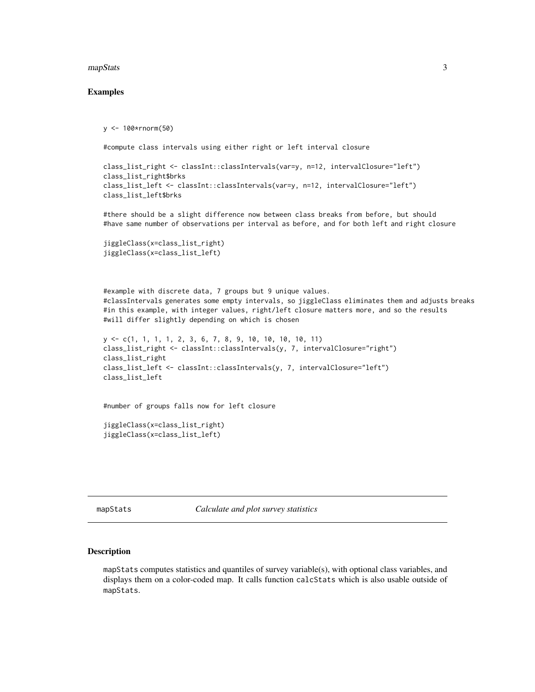#### <span id="page-2-0"></span>mapStats 3

#### Examples

y <- 100\*rnorm(50)

```
#compute class intervals using either right or left interval closure
```

```
class_list_right <- classInt::classIntervals(var=y, n=12, intervalClosure="left")
class_list_right$brks
class_list_left <- classInt::classIntervals(var=y, n=12, intervalClosure="left")
class_list_left$brks
```
#there should be a slight difference now between class breaks from before, but should #have same number of observations per interval as before, and for both left and right closure

```
jiggleClass(x=class_list_right)
jiggleClass(x=class_list_left)
```
#example with discrete data, 7 groups but 9 unique values. #classIntervals generates some empty intervals, so jiggleClass eliminates them and adjusts breaks #in this example, with integer values, right/left closure matters more, and so the results #will differ slightly depending on which is chosen

```
y <- c(1, 1, 1, 1, 2, 3, 6, 7, 8, 9, 10, 10, 10, 10, 11)
class_list_right <- classInt::classIntervals(y, 7, intervalClosure="right")
class_list_right
class_list_left <- classInt::classIntervals(y, 7, intervalClosure="left")
class_list_left
```
#number of groups falls now for left closure

```
jiggleClass(x=class_list_right)
jiggleClass(x=class_list_left)
```
<span id="page-2-2"></span>mapStats *Calculate and plot survey statistics*

#### <span id="page-2-1"></span>Description

mapStats computes statistics and quantiles of survey variable(s), with optional class variables, and displays them on a color-coded map. It calls function calcStats which is also usable outside of mapStats.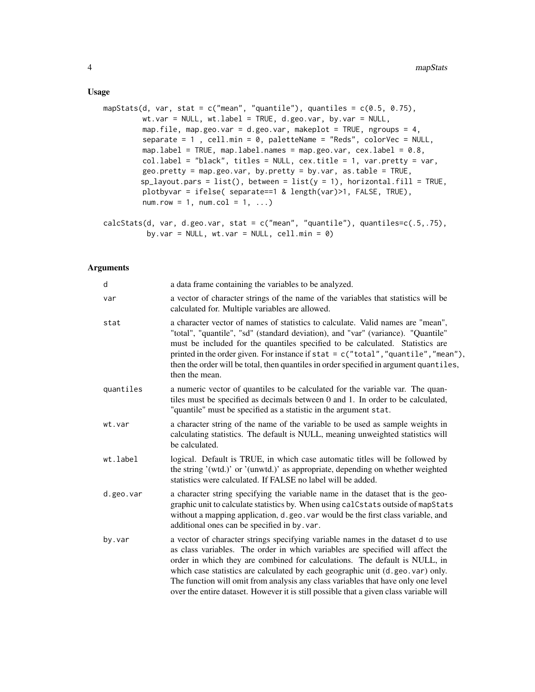#### Usage

```
mapStats(d, var, stat = c("mean", "quantile"), quantiles = c(0.5, 0.75),
        wt.var = NULL, wt.label = TRUE, d.geo.var, by.var = NULL,
        map.file, map.geo.var = d.geo.var, makeplot = TRUE, ngroups = 4,
         separate = 1 , cell.min = 0, paletteName = "Reds", colorVec = NULL,
        map.label = TRUE, map.label.names = map.geo.var, cex.label = 0.8,
         col.label = "black", titles = NULL, cex.title = 1, var.pretty = var,
         geo.pretty = map.geo.var, by.pretty = by.var, as.table = TRUE,
        sp\_layout.parse = list(), between = list(y = 1), horizontal.fill = TRUE,
        plotbyvar = ifelse( separate==1 & length(var)>1, FALSE, TRUE),
         numrow = 1, numcol = 1, ...
```

```
calcStats(d, var, d.geo.var, stat = c("mean", "quantile"), quantiles=c(.5,.75),by.var = NULL, wt.var = NULL, cell.min = 0)
```
#### Arguments

| d         | a data frame containing the variables to be analyzed.                                                                                                                                                                                                                                                                                                                                                                                                                                                            |
|-----------|------------------------------------------------------------------------------------------------------------------------------------------------------------------------------------------------------------------------------------------------------------------------------------------------------------------------------------------------------------------------------------------------------------------------------------------------------------------------------------------------------------------|
| var       | a vector of character strings of the name of the variables that statistics will be<br>calculated for. Multiple variables are allowed.                                                                                                                                                                                                                                                                                                                                                                            |
| stat      | a character vector of names of statistics to calculate. Valid names are "mean",<br>"total", "quantile", "sd" (standard deviation), and "var" (variance). "Quantile"<br>must be included for the quantiles specified to be calculated. Statistics are<br>printed in the order given. For instance if stat = c("total", "quantile", "mean"),<br>then the order will be total, then quantiles in order specified in argument quantiles,<br>then the mean.                                                           |
| quantiles | a numeric vector of quantiles to be calculated for the variable var. The quan-<br>tiles must be specified as decimals between 0 and 1. In order to be calculated,<br>"quantile" must be specified as a statistic in the argument stat.                                                                                                                                                                                                                                                                           |
| wt.var    | a character string of the name of the variable to be used as sample weights in<br>calculating statistics. The default is NULL, meaning unweighted statistics will<br>be calculated.                                                                                                                                                                                                                                                                                                                              |
| wt.label  | logical. Default is TRUE, in which case automatic titles will be followed by<br>the string '(wtd.)' or '(unwtd.)' as appropriate, depending on whether weighted<br>statistics were calculated. If FALSE no label will be added.                                                                                                                                                                                                                                                                                  |
| d.geo.var | a character string specifying the variable name in the dataset that is the geo-<br>graphic unit to calculate statistics by. When using calCstats outside of mapStats<br>without a mapping application, d. geo. var would be the first class variable, and<br>additional ones can be specified in by. var.                                                                                                                                                                                                        |
| by.var    | a vector of character strings specifying variable names in the dataset d to use<br>as class variables. The order in which variables are specified will affect the<br>order in which they are combined for calculations. The default is NULL, in<br>which case statistics are calculated by each geographic unit (d.geo.var) only.<br>The function will omit from analysis any class variables that have only one level<br>over the entire dataset. However it is still possible that a given class variable will |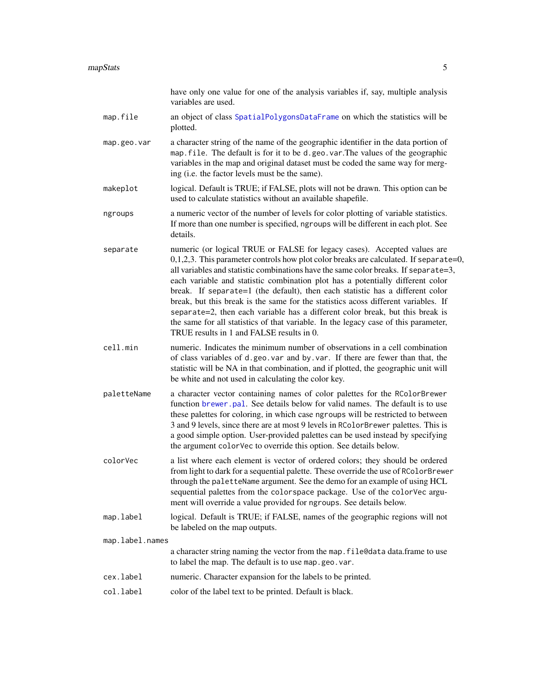<span id="page-4-0"></span>

|                 | have only one value for one of the analysis variables if, say, multiple analysis<br>variables are used.                                                                                                                                                                                                                                                                                                                                                                                                                                                                                                                                                                                                                                |
|-----------------|----------------------------------------------------------------------------------------------------------------------------------------------------------------------------------------------------------------------------------------------------------------------------------------------------------------------------------------------------------------------------------------------------------------------------------------------------------------------------------------------------------------------------------------------------------------------------------------------------------------------------------------------------------------------------------------------------------------------------------------|
| map.file        | an object of class SpatialPolygonsDataFrame on which the statistics will be<br>plotted.                                                                                                                                                                                                                                                                                                                                                                                                                                                                                                                                                                                                                                                |
| map.geo.var     | a character string of the name of the geographic identifier in the data portion of<br>map. file. The default is for it to be d.geo.var. The values of the geographic<br>variables in the map and original dataset must be coded the same way for merg-<br>ing (i.e. the factor levels must be the same).                                                                                                                                                                                                                                                                                                                                                                                                                               |
| makeplot        | logical. Default is TRUE; if FALSE, plots will not be drawn. This option can be<br>used to calculate statistics without an available shapefile.                                                                                                                                                                                                                                                                                                                                                                                                                                                                                                                                                                                        |
| ngroups         | a numeric vector of the number of levels for color plotting of variable statistics.<br>If more than one number is specified, ngroups will be different in each plot. See<br>details.                                                                                                                                                                                                                                                                                                                                                                                                                                                                                                                                                   |
| separate        | numeric (or logical TRUE or FALSE for legacy cases). Accepted values are<br>0,1,2,3. This parameter controls how plot color breaks are calculated. If separate=0,<br>all variables and statistic combinations have the same color breaks. If separate=3,<br>each variable and statistic combination plot has a potentially different color<br>break. If separate=1 (the default), then each statistic has a different color<br>break, but this break is the same for the statistics acoss different variables. If<br>separate=2, then each variable has a different color break, but this break is<br>the same for all statistics of that variable. In the legacy case of this parameter,<br>TRUE results in 1 and FALSE results in 0. |
| cell.min        | numeric. Indicates the minimum number of observations in a cell combination<br>of class variables of d.geo.var and by.var. If there are fewer than that, the<br>statistic will be NA in that combination, and if plotted, the geographic unit will<br>be white and not used in calculating the color key.                                                                                                                                                                                                                                                                                                                                                                                                                              |
| paletteName     | a character vector containing names of color palettes for the RColorBrewer<br>function brewer.pal. See details below for valid names. The default is to use<br>these palettes for coloring, in which case ngroups will be restricted to between<br>3 and 9 levels, since there are at most 9 levels in RColorBrewer palettes. This is<br>a good simple option. User-provided palettes can be used instead by specifying<br>the argument colorVec to override this option. See details below.                                                                                                                                                                                                                                           |
| colorVec        | a list where each element is vector of ordered colors; they should be ordered<br>from light to dark for a sequential palette. These override the use of RColorBrewer<br>through the paletteName argument. See the demo for an example of using HCL<br>sequential palettes from the colorspace package. Use of the colorVec argu-<br>ment will override a value provided for ngroups. See details below.                                                                                                                                                                                                                                                                                                                                |
| map.label       | logical. Default is TRUE; if FALSE, names of the geographic regions will not<br>be labeled on the map outputs.                                                                                                                                                                                                                                                                                                                                                                                                                                                                                                                                                                                                                         |
| map.label.names |                                                                                                                                                                                                                                                                                                                                                                                                                                                                                                                                                                                                                                                                                                                                        |
|                 | a character string naming the vector from the map. file@data data.frame to use<br>to label the map. The default is to use map.geo.var.                                                                                                                                                                                                                                                                                                                                                                                                                                                                                                                                                                                                 |
| cex.label       | numeric. Character expansion for the labels to be printed.                                                                                                                                                                                                                                                                                                                                                                                                                                                                                                                                                                                                                                                                             |
| col.label       | color of the label text to be printed. Default is black.                                                                                                                                                                                                                                                                                                                                                                                                                                                                                                                                                                                                                                                                               |
|                 |                                                                                                                                                                                                                                                                                                                                                                                                                                                                                                                                                                                                                                                                                                                                        |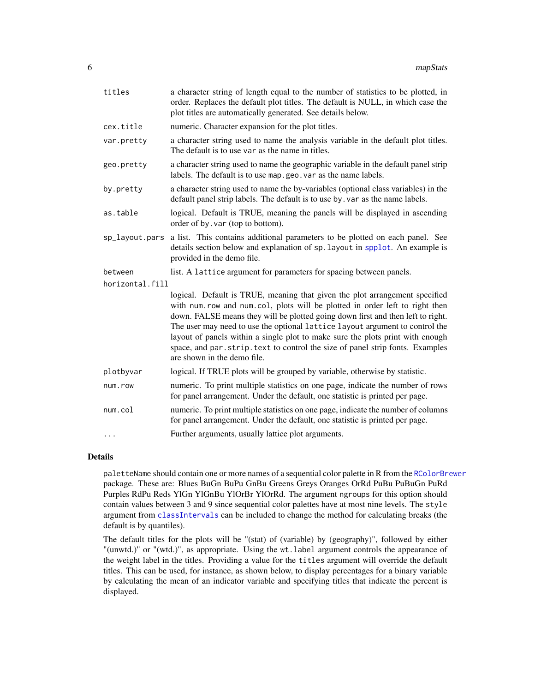<span id="page-5-0"></span>

| titles          | a character string of length equal to the number of statistics to be plotted, in<br>order. Replaces the default plot titles. The default is NULL, in which case the<br>plot titles are automatically generated. See details below.                                                                                                                                                                                                                                                                                               |
|-----------------|----------------------------------------------------------------------------------------------------------------------------------------------------------------------------------------------------------------------------------------------------------------------------------------------------------------------------------------------------------------------------------------------------------------------------------------------------------------------------------------------------------------------------------|
| cex.title       | numeric. Character expansion for the plot titles.                                                                                                                                                                                                                                                                                                                                                                                                                                                                                |
| var.pretty      | a character string used to name the analysis variable in the default plot titles.<br>The default is to use var as the name in titles.                                                                                                                                                                                                                                                                                                                                                                                            |
| geo.pretty      | a character string used to name the geographic variable in the default panel strip<br>labels. The default is to use map.geo.var as the name labels.                                                                                                                                                                                                                                                                                                                                                                              |
| by.pretty       | a character string used to name the by-variables (optional class variables) in the<br>default panel strip labels. The default is to use by . var as the name labels.                                                                                                                                                                                                                                                                                                                                                             |
| as.table        | logical. Default is TRUE, meaning the panels will be displayed in ascending<br>order of by. var (top to bottom).                                                                                                                                                                                                                                                                                                                                                                                                                 |
|                 | sp_layout.pars a list. This contains additional parameters to be plotted on each panel. See<br>details section below and explanation of sp. layout in spplot. An example is<br>provided in the demo file.                                                                                                                                                                                                                                                                                                                        |
| between         | list. A lattice argument for parameters for spacing between panels.                                                                                                                                                                                                                                                                                                                                                                                                                                                              |
| horizontal.fill |                                                                                                                                                                                                                                                                                                                                                                                                                                                                                                                                  |
|                 | logical. Default is TRUE, meaning that given the plot arrangement specified<br>with num.row and num.col, plots will be plotted in order left to right then<br>down. FALSE means they will be plotted going down first and then left to right.<br>The user may need to use the optional lattice layout argument to control the<br>layout of panels within a single plot to make sure the plots print with enough<br>space, and par. strip. text to control the size of panel strip fonts. Examples<br>are shown in the demo file. |
| plotbyvar       | logical. If TRUE plots will be grouped by variable, otherwise by statistic.                                                                                                                                                                                                                                                                                                                                                                                                                                                      |
| num.row         | numeric. To print multiple statistics on one page, indicate the number of rows<br>for panel arrangement. Under the default, one statistic is printed per page.                                                                                                                                                                                                                                                                                                                                                                   |
| num.col         | numeric. To print multiple statistics on one page, indicate the number of columns<br>for panel arrangement. Under the default, one statistic is printed per page.                                                                                                                                                                                                                                                                                                                                                                |
| .               | Further arguments, usually lattice plot arguments.                                                                                                                                                                                                                                                                                                                                                                                                                                                                               |

#### Details

paletteName should contain one or more names of a sequential color palette in R from the [RColorBrewer](#page-0-1) package. These are: Blues BuGn BuPu GnBu Greens Greys Oranges OrRd PuBu PuBuGn PuRd Purples RdPu Reds YlGn YlGnBu YlOrBr YlOrRd. The argument ngroups for this option should contain values between 3 and 9 since sequential color palettes have at most nine levels. The style argument from [classIntervals](#page-0-1) can be included to change the method for calculating breaks (the default is by quantiles).

The default titles for the plots will be "(stat) of (variable) by (geography)", followed by either "(unwtd.)" or "(wtd.)", as appropriate. Using the wt.label argument controls the appearance of the weight label in the titles. Providing a value for the titles argument will override the default titles. This can be used, for instance, as shown below, to display percentages for a binary variable by calculating the mean of an indicator variable and specifying titles that indicate the percent is displayed.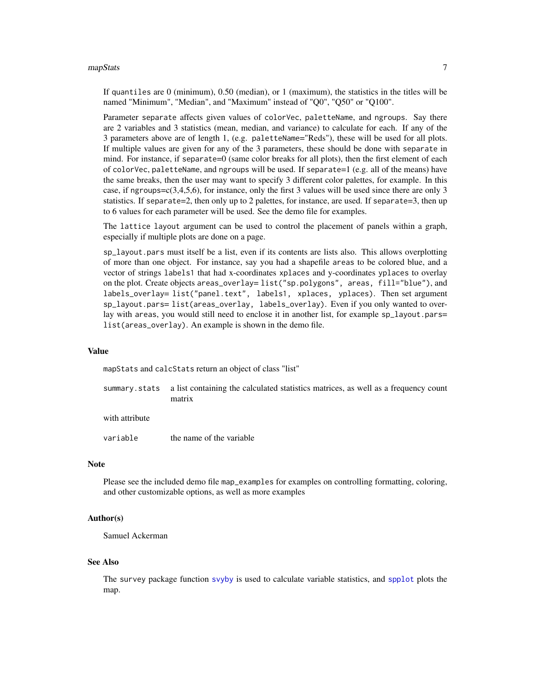#### <span id="page-6-0"></span> $m$ apStats  $\sim$  7

If quantiles are 0 (minimum), 0.50 (median), or 1 (maximum), the statistics in the titles will be named "Minimum", "Median", and "Maximum" instead of "Q0", "Q50" or "Q100".

Parameter separate affects given values of colorVec, paletteName, and ngroups. Say there are 2 variables and 3 statistics (mean, median, and variance) to calculate for each. If any of the 3 parameters above are of length 1, (e.g. paletteName="Reds"), these will be used for all plots. If multiple values are given for any of the 3 parameters, these should be done with separate in mind. For instance, if separate=0 (same color breaks for all plots), then the first element of each of colorVec, paletteName, and ngroups will be used. If separate=1 (e.g. all of the means) have the same breaks, then the user may want to specify 3 different color palettes, for example. In this case, if ngroups= $c(3,4,5,6)$ , for instance, only the first 3 values will be used since there are only 3 statistics. If separate=2, then only up to 2 palettes, for instance, are used. If separate=3, then up to 6 values for each parameter will be used. See the demo file for examples.

The lattice layout argument can be used to control the placement of panels within a graph, especially if multiple plots are done on a page.

sp\_layout.pars must itself be a list, even if its contents are lists also. This allows overplotting of more than one object. For instance, say you had a shapefile areas to be colored blue, and a vector of strings labels1 that had x-coordinates xplaces and y-coordinates yplaces to overlay on the plot. Create objects areas\_overlay= list("sp.polygons", areas, fill="blue"), and labels\_overlay= list("panel.text", labels1, xplaces, yplaces). Then set argument sp\_layout.pars= list(areas\_overlay, labels\_overlay). Even if you only wanted to overlay with areas, you would still need to enclose it in another list, for example sp\_layout.pars= list(areas\_overlay). An example is shown in the demo file.

#### Value

mapStats and calcStats return an object of class "list"

summary.stats a list containing the calculated statistics matrices, as well as a frequency count matrix

with attribute

variable the name of the variable

#### Note

Please see the included demo file map\_examples for examples on controlling formatting, coloring, and other customizable options, as well as more examples

#### Author(s)

Samuel Ackerman

#### See Also

The survey package function [svyby](#page-0-1) is used to calculate variable statistics, and [spplot](#page-0-1) plots the map.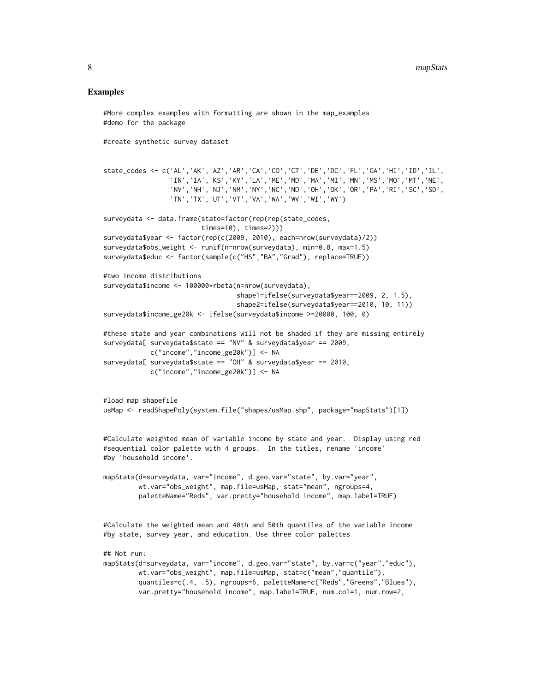#### Examples

```
#More complex examples with formatting are shown in the map_examples
#demo for the package
#create synthetic survey dataset
state_codes <- c('AL','AK','AZ','AR','CA','CO','CT','DE','DC','FL','GA','HI','ID','IL',
                 'IN','IA','KS','KY','LA','ME','MD','MA','MI','MN','MS','MO','MT','NE',
                 'NV','NH','NJ','NM','NY','NC','ND','OH','OK','OR','PA','RI','SC','SD',
                 'TN','TX','UT','VT','VA','WA','WV','WI','WY')
surveydata <- data.frame(state=factor(rep(rep(state_codes,
                         times=10), times=2)))
surveydata$year <- factor(rep(c(2009, 2010), each=nrow(surveydata)/2))
surveydata$obs_weight <- runif(n=nrow(surveydata), min=0.8, max=1.5)
surveydata$educ <- factor(sample(c("HS","BA","Grad"), replace=TRUE))
#two income distributions
surveydata$income <- 100000*rbeta(n=nrow(surveydata),
                                  shape1=ifelse(surveydata$year==2009, 2, 1.5),
                                  shape2=ifelse(surveydata$year==2010, 10, 11))
surveydata$income_ge20k <- ifelse(surveydata$income >=20000, 100, 0)
#these state and year combinations will not be shaded if they are missing entirely
surveydata[ surveydata$state == "NV" & surveydata$year == 2009,
            c("income","income_ge20k")] <- NA
surveydata[ surveydata$state == "OH" & surveydata$year == 2010,
            c("income","income_ge20k")] <- NA
#load map shapefile
usMap <- readShapePoly(system.file("shapes/usMap.shp", package="mapStats")[1])
#Calculate weighted mean of variable income by state and year. Display using red
#sequential color palette with 4 groups. In the titles, rename 'income'
#by 'household income'.
mapStats(d=surveydata, var="income", d.geo.var="state", by.var="year",
         wt.var="obs_weight", map.file=usMap, stat="mean", ngroups=4,
         paletteName="Reds", var.pretty="household income", map.label=TRUE)
#Calculate the weighted mean and 40th and 50th quantiles of the variable income
#by state, survey year, and education. Use three color palettes
## Not run:
mapStats(d=surveydata, var="income", d.geo.var="state", by.var=c("year","educ"),
        wt.var="obs_weight", map.file=usMap, stat=c("mean","quantile"),
        quantiles=c(.4, .5), ngroups=6, paletteName=c("Reds","Greens","Blues"),
        var.pretty="household income", map.label=TRUE, num.col=1, num.row=2,
```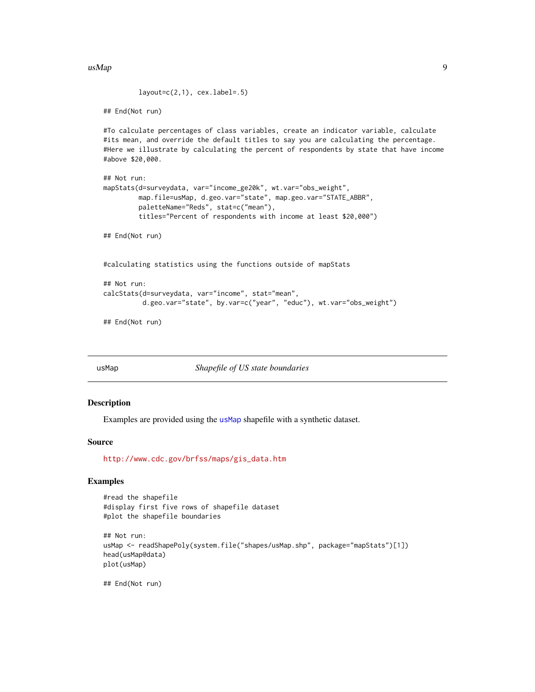<span id="page-8-0"></span> $\mu$ usMap  $9$ 

```
layout=c(2,1), cex.label=.5)
```
## End(Not run)

#To calculate percentages of class variables, create an indicator variable, calculate #its mean, and override the default titles to say you are calculating the percentage. #Here we illustrate by calculating the percent of respondents by state that have income #above \$20,000.

```
## Not run:
mapStats(d=surveydata, var="income_ge20k", wt.var="obs_weight",
        map.file=usMap, d.geo.var="state", map.geo.var="STATE_ABBR",
        paletteName="Reds", stat=c("mean"),
        titles="Percent of respondents with income at least $20,000")
```
## End(Not run)

#calculating statistics using the functions outside of mapStats

```
## Not run:
calcStats(d=surveydata, var="income", stat="mean",
          d.geo.var="state", by.var=c("year", "educ"), wt.var="obs_weight")
```

```
## End(Not run)
```
<span id="page-8-1"></span>

usMap *Shapefile of US state boundaries*

#### **Description**

Examples are provided using the [usMap](#page-8-1) shapefile with a synthetic dataset.

#### Source

[http://www.cdc.gov/brfss/maps/gis\\_data.htm](http://www.cdc.gov/brfss/maps/gis_data.htm)

#### Examples

```
#read the shapefile
#display first five rows of shapefile dataset
#plot the shapefile boundaries
```

```
## Not run:
usMap <- readShapePoly(system.file("shapes/usMap.shp", package="mapStats")[1])
head(usMap@data)
plot(usMap)
```
## End(Not run)